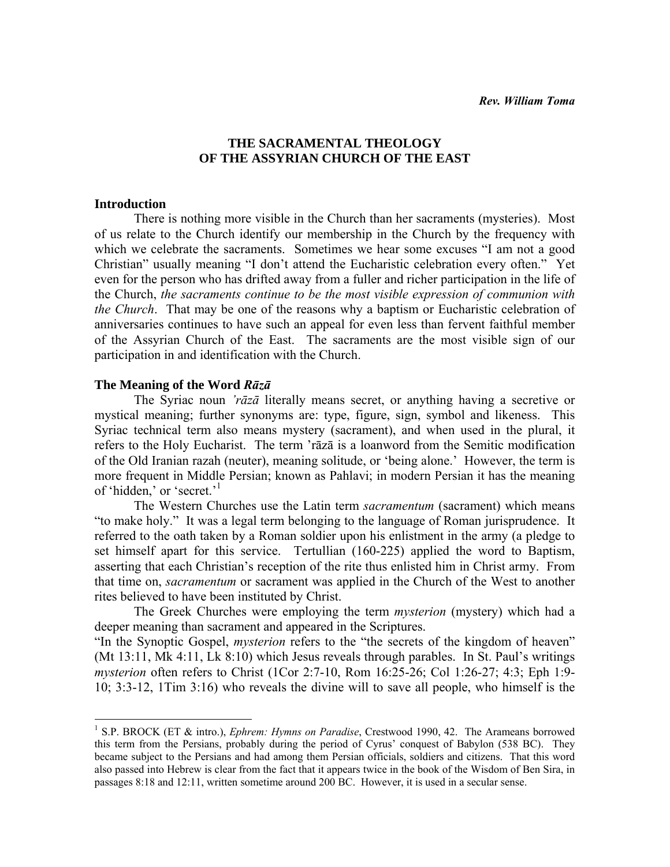# **THE SACRAMENTAL THEOLOGY OF THE ASSYRIAN CHURCH OF THE EAST**

#### **Introduction**

 $\overline{a}$ 

 There is nothing more visible in the Church than her sacraments (mysteries). Most of us relate to the Church identify our membership in the Church by the frequency with which we celebrate the sacraments. Sometimes we hear some excuses "I am not a good Christian" usually meaning "I don't attend the Eucharistic celebration every often." Yet even for the person who has drifted away from a fuller and richer participation in the life of the Church, *the sacraments continue to be the most visible expression of communion with the Church*. That may be one of the reasons why a baptism or Eucharistic celebration of anniversaries continues to have such an appeal for even less than fervent faithful member of the Assyrian Church of the East. The sacraments are the most visible sign of our participation in and identification with the Church.

### **The Meaning of the Word** *Rāzā*

 The Syriac noun *'rāzā* literally means secret, or anything having a secretive or mystical meaning; further synonyms are: type, figure, sign, symbol and likeness. This Syriac technical term also means mystery (sacrament), and when used in the plural, it refers to the Holy Eucharist. The term 'rāzā is a loanword from the Semitic modification of the Old Iranian razah (neuter), meaning solitude, or 'being alone.' However, the term is more frequent in Middle Persian; known as Pahlavi; in modern Persian it has the meaning of 'hidden,' or 'secret.'<sup>1</sup>

 The Western Churches use the Latin term *sacramentum* (sacrament) which means "to make holy." It was a legal term belonging to the language of Roman jurisprudence. It referred to the oath taken by a Roman soldier upon his enlistment in the army (a pledge to set himself apart for this service. Tertullian (160-225) applied the word to Baptism, asserting that each Christian's reception of the rite thus enlisted him in Christ army. From that time on, *sacramentum* or sacrament was applied in the Church of the West to another rites believed to have been instituted by Christ.

 The Greek Churches were employing the term *mysterion* (mystery) which had a deeper meaning than sacrament and appeared in the Scriptures.

"In the Synoptic Gospel, *mysterion* refers to the "the secrets of the kingdom of heaven" (Mt 13:11, Mk 4:11, Lk 8:10) which Jesus reveals through parables. In St. Paul's writings *mysterion* often refers to Christ (1Cor 2:7-10, Rom 16:25-26; Col 1:26-27; 4:3; Eph 1:9- 10; 3:3-12, 1Tim 3:16) who reveals the divine will to save all people, who himself is the

<sup>&</sup>lt;sup>1</sup> S.P. BROCK (ET & intro.), *Ephrem: Hymns on Paradise*, Crestwood 1990, 42. The Arameans borrowed this term from the Persians, probably during the period of Cyrus' conquest of Babylon (538 BC). They became subject to the Persians and had among them Persian officials, soldiers and citizens. That this word also passed into Hebrew is clear from the fact that it appears twice in the book of the Wisdom of Ben Sira, in passages 8:18 and 12:11, written sometime around 200 BC. However, it is used in a secular sense.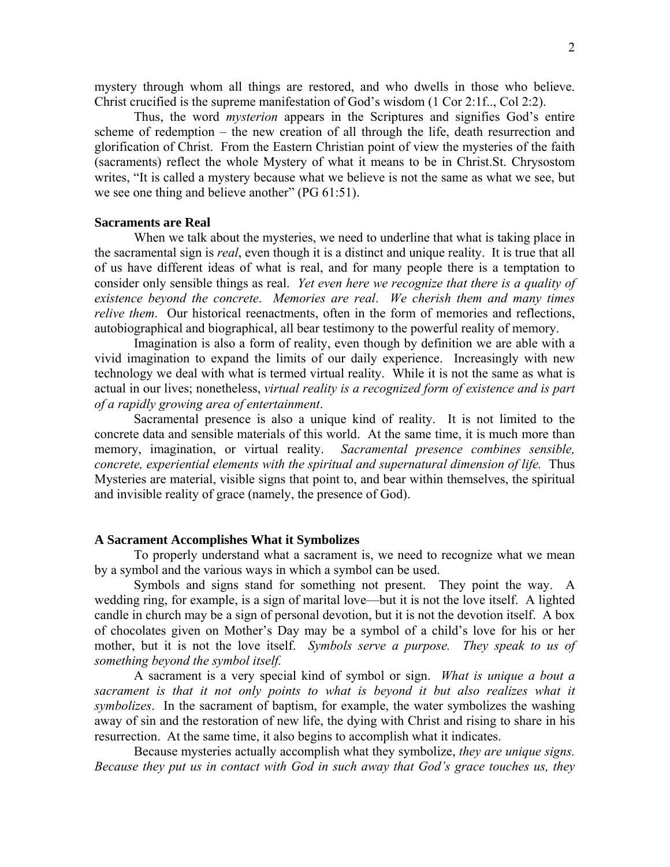mystery through whom all things are restored, and who dwells in those who believe. Christ crucified is the supreme manifestation of God's wisdom (1 Cor 2:1f.., Col 2:2).

 Thus, the word *mysterion* appears in the Scriptures and signifies God's entire scheme of redemption – the new creation of all through the life, death resurrection and glorification of Christ. From the Eastern Christian point of view the mysteries of the faith (sacraments) reflect the whole Mystery of what it means to be in Christ.St. Chrysostom writes, "It is called a mystery because what we believe is not the same as what we see, but we see one thing and believe another" (PG 61:51).

#### **Sacraments are Real**

When we talk about the mysteries, we need to underline that what is taking place in the sacramental sign is *real*, even though it is a distinct and unique reality. It is true that all of us have different ideas of what is real, and for many people there is a temptation to consider only sensible things as real. *Yet even here we recognize that there is a quality of existence beyond the concrete*. *Memories are real*. *We cherish them and many times relive them*. Our historical reenactments, often in the form of memories and reflections, autobiographical and biographical, all bear testimony to the powerful reality of memory.

 Imagination is also a form of reality, even though by definition we are able with a vivid imagination to expand the limits of our daily experience. Increasingly with new technology we deal with what is termed virtual reality. While it is not the same as what is actual in our lives; nonetheless, *virtual reality is a recognized form of existence and is part of a rapidly growing area of entertainment*.

 Sacramental presence is also a unique kind of reality. It is not limited to the concrete data and sensible materials of this world. At the same time, it is much more than memory, imagination, or virtual reality. *Sacramental presence combines sensible, concrete, experiential elements with the spiritual and supernatural dimension of life.* Thus Mysteries are material, visible signs that point to, and bear within themselves, the spiritual and invisible reality of grace (namely, the presence of God).

#### **A Sacrament Accomplishes What it Symbolizes**

 To properly understand what a sacrament is, we need to recognize what we mean by a symbol and the various ways in which a symbol can be used.

 Symbols and signs stand for something not present. They point the way. A wedding ring, for example, is a sign of marital love—but it is not the love itself. A lighted candle in church may be a sign of personal devotion, but it is not the devotion itself. A box of chocolates given on Mother's Day may be a symbol of a child's love for his or her mother, but it is not the love itself. *Symbols serve a purpose. They speak to us of something beyond the symbol itself.*

 A sacrament is a very special kind of symbol or sign. *What is unique a bout a*  sacrament is that it not only points to what is beyond it but also realizes what it *symbolizes*. In the sacrament of baptism, for example, the water symbolizes the washing away of sin and the restoration of new life, the dying with Christ and rising to share in his resurrection. At the same time, it also begins to accomplish what it indicates.

 Because mysteries actually accomplish what they symbolize, *they are unique signs. Because they put us in contact with God in such away that God's grace touches us, they*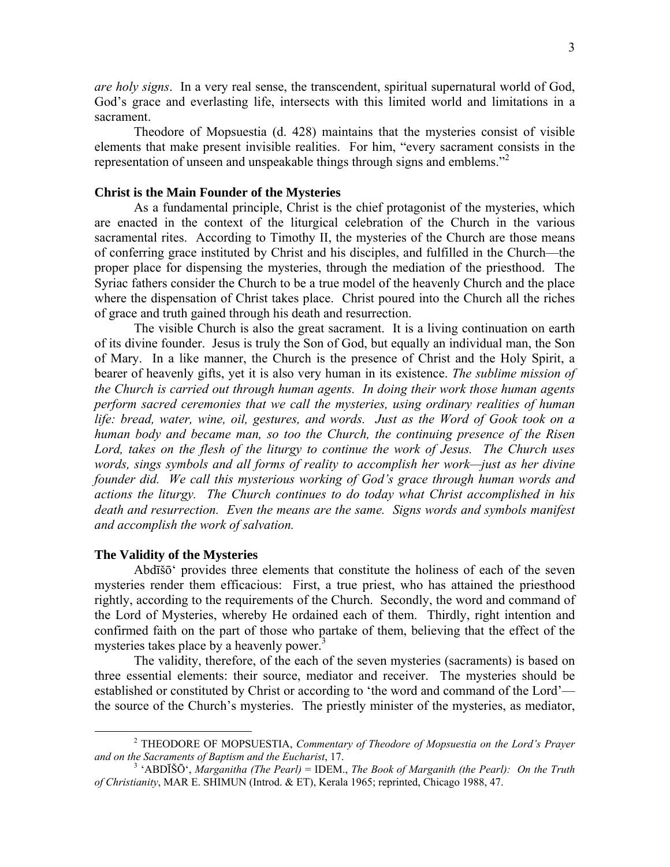*are holy signs*. In a very real sense, the transcendent, spiritual supernatural world of God, God's grace and everlasting life, intersects with this limited world and limitations in a sacrament.

 Theodore of Mopsuestia (d. 428) maintains that the mysteries consist of visible elements that make present invisible realities. For him, "every sacrament consists in the representation of unseen and unspeakable things through signs and emblems.<sup>"2</sup>

## **Christ is the Main Founder of the Mysteries**

 As a fundamental principle, Christ is the chief protagonist of the mysteries, which are enacted in the context of the liturgical celebration of the Church in the various sacramental rites. According to Timothy II, the mysteries of the Church are those means of conferring grace instituted by Christ and his disciples, and fulfilled in the Church—the proper place for dispensing the mysteries, through the mediation of the priesthood. The Syriac fathers consider the Church to be a true model of the heavenly Church and the place where the dispensation of Christ takes place. Christ poured into the Church all the riches of grace and truth gained through his death and resurrection.

 The visible Church is also the great sacrament. It is a living continuation on earth of its divine founder. Jesus is truly the Son of God, but equally an individual man, the Son of Mary. In a like manner, the Church is the presence of Christ and the Holy Spirit, a bearer of heavenly gifts, yet it is also very human in its existence. *The sublime mission of the Church is carried out through human agents. In doing their work those human agents perform sacred ceremonies that we call the mysteries, using ordinary realities of human life: bread, water, wine, oil, gestures, and words. Just as the Word of Gook took on a human body and became man, so too the Church, the continuing presence of the Risen Lord, takes on the flesh of the liturgy to continue the work of Jesus. The Church uses words, sings symbols and all forms of reality to accomplish her work—just as her divine founder did. We call this mysterious working of God's grace through human words and actions the liturgy. The Church continues to do today what Christ accomplished in his death and resurrection. Even the means are the same. Signs words and symbols manifest and accomplish the work of salvation.* 

#### **The Validity of the Mysteries**

 Abdīšō' provides three elements that constitute the holiness of each of the seven mysteries render them efficacious: First, a true priest, who has attained the priesthood rightly, according to the requirements of the Church. Secondly, the word and command of the Lord of Mysteries, whereby He ordained each of them. Thirdly, right intention and confirmed faith on the part of those who partake of them, believing that the effect of the mysteries takes place by a heavenly power.<sup>3</sup>

 The validity, therefore, of the each of the seven mysteries (sacraments) is based on three essential elements: their source, mediator and receiver. The mysteries should be established or constituted by Christ or according to 'the word and command of the Lord' the source of the Church's mysteries. The priestly minister of the mysteries, as mediator,

 $\frac{1}{2}$  THEODORE OF MOPSUESTIA, *Commentary of Theodore of Mopsuestia on the Lord's Prayer*  and on the Sacraments of Baptism and the Eucharist, 17.

 <sup>&#</sup>x27;ABDĪŠŌ', *Marganitha (The Pearl)* = IDEM., *The Book of Marganith (the Pearl): On the Truth of Christianity*, MAR E. SHIMUN (Introd. & ET), Kerala 1965; reprinted, Chicago 1988, 47.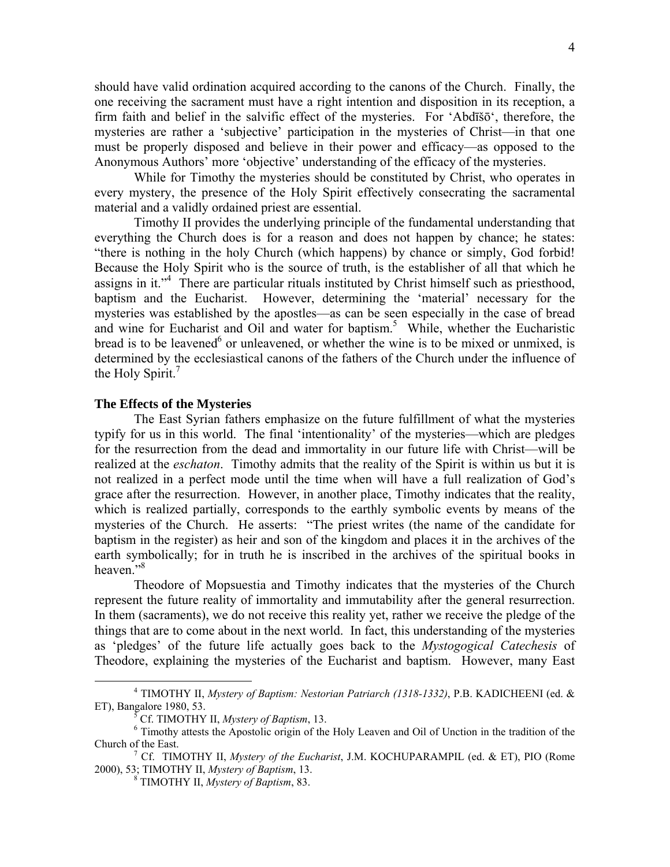should have valid ordination acquired according to the canons of the Church. Finally, the one receiving the sacrament must have a right intention and disposition in its reception, a firm faith and belief in the salvific effect of the mysteries. For 'Abdīšō', therefore, the mysteries are rather a 'subjective' participation in the mysteries of Christ—in that one must be properly disposed and believe in their power and efficacy—as opposed to the Anonymous Authors' more 'objective' understanding of the efficacy of the mysteries.

 While for Timothy the mysteries should be constituted by Christ, who operates in every mystery, the presence of the Holy Spirit effectively consecrating the sacramental material and a validly ordained priest are essential.

 Timothy II provides the underlying principle of the fundamental understanding that everything the Church does is for a reason and does not happen by chance; he states: "there is nothing in the holy Church (which happens) by chance or simply, God forbid! Because the Holy Spirit who is the source of truth, is the establisher of all that which he assigns in it."<sup>4</sup> There are particular rituals instituted by Christ himself such as priesthood, baptism and the Eucharist. However, determining the 'material' necessary for the mysteries was established by the apostles—as can be seen especially in the case of bread and wine for Eucharist and Oil and water for baptism.<sup>5</sup> While, whether the Eucharistic bread is to be leavened<sup>6</sup> or unleavened, or whether the wine is to be mixed or unmixed, is determined by the ecclesiastical canons of the fathers of the Church under the influence of the Holy Spirit.<sup>7</sup>

#### **The Effects of the Mysteries**

 The East Syrian fathers emphasize on the future fulfillment of what the mysteries typify for us in this world. The final 'intentionality' of the mysteries—which are pledges for the resurrection from the dead and immortality in our future life with Christ—will be realized at the *eschaton*. Timothy admits that the reality of the Spirit is within us but it is not realized in a perfect mode until the time when will have a full realization of God's grace after the resurrection. However, in another place, Timothy indicates that the reality, which is realized partially, corresponds to the earthly symbolic events by means of the mysteries of the Church. He asserts: "The priest writes (the name of the candidate for baptism in the register) as heir and son of the kingdom and places it in the archives of the earth symbolically; for in truth he is inscribed in the archives of the spiritual books in heaven<sup>"8</sup>

 Theodore of Mopsuestia and Timothy indicates that the mysteries of the Church represent the future reality of immortality and immutability after the general resurrection. In them (sacraments), we do not receive this reality yet, rather we receive the pledge of the things that are to come about in the next world. In fact, this understanding of the mysteries as 'pledges' of the future life actually goes back to the *Mystogogical Catechesis* of Theodore, explaining the mysteries of the Eucharist and baptism. However, many East

 $\frac{1}{4}$  TIMOTHY II, *Mystery of Baptism: Nestorian Patriarch (1318-1332)*, P.B. KADICHEENI (ed. & ET), Bangalore 1980, 53.

Cf. TIMOTHY II, *Mystery of Baptism*, 13. 6

<sup>&</sup>lt;sup>6</sup> Timothy attests the Apostolic origin of the Holy Leaven and Oil of Unction in the tradition of the Church of the East. 7

Cf. TIMOTHY II, *Mystery of the Eucharist*, J.M. KOCHUPARAMPIL (ed. & ET), PIO (Rome 2000), 53; TIMOTHY II, *Mystery of Baptism*, 13. 8

TIMOTHY II, *Mystery of Baptism*, 83.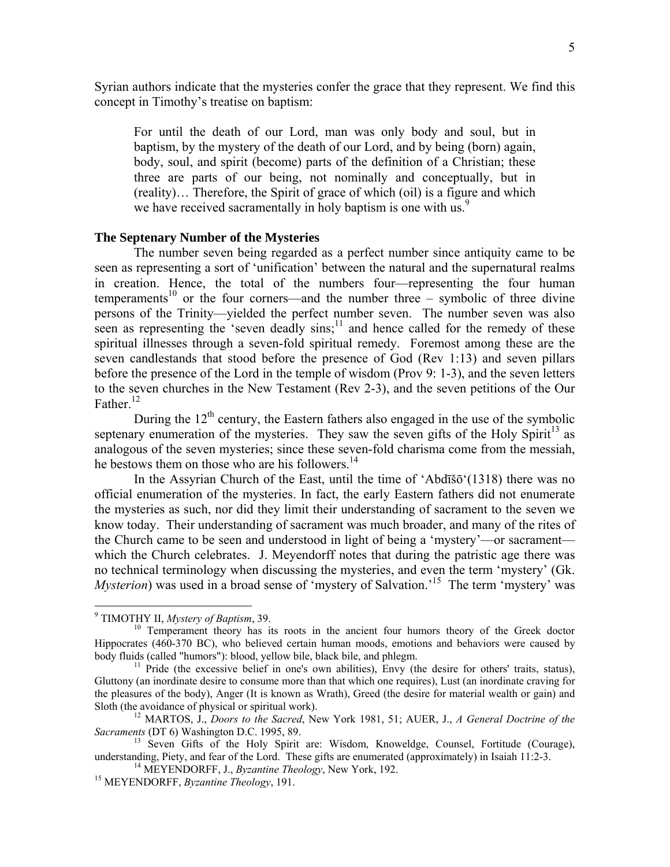Syrian authors indicate that the mysteries confer the grace that they represent. We find this concept in Timothy's treatise on baptism:

For until the death of our Lord, man was only body and soul, but in baptism, by the mystery of the death of our Lord, and by being (born) again, body, soul, and spirit (become) parts of the definition of a Christian; these three are parts of our being, not nominally and conceptually, but in (reality)… Therefore, the Spirit of grace of which (oil) is a figure and which we have received sacramentally in holy baptism is one with us.<sup>9</sup>

#### **The Septenary Number of the Mysteries**

 The number seven being regarded as a perfect number since antiquity came to be seen as representing a sort of 'unification' between the natural and the supernatural realms in creation. Hence, the total of the numbers four—representing the four human temperaments<sup>10</sup> or the four corners—and the number three – symbolic of three divine persons of the Trinity—yielded the perfect number seven. The number seven was also seen as representing the 'seven deadly sins; $11$  and hence called for the remedy of these spiritual illnesses through a seven-fold spiritual remedy. Foremost among these are the seven candlestands that stood before the presence of God (Rev 1:13) and seven pillars before the presence of the Lord in the temple of wisdom (Prov 9: 1-3), and the seven letters to the seven churches in the New Testament (Rev 2-3), and the seven petitions of the Our Father<sup>12</sup>

During the  $12<sup>th</sup>$  century, the Eastern fathers also engaged in the use of the symbolic septenary enumeration of the mysteries. They saw the seven gifts of the Holy Spirit<sup>13</sup> as analogous of the seven mysteries; since these seven-fold charisma come from the messiah, he bestows them on those who are his followers.<sup>14</sup>

 In the Assyrian Church of the East, until the time of 'Abdīšō'(1318) there was no official enumeration of the mysteries. In fact, the early Eastern fathers did not enumerate the mysteries as such, nor did they limit their understanding of sacrament to the seven we know today. Their understanding of sacrament was much broader, and many of the rites of the Church came to be seen and understood in light of being a 'mystery'—or sacrament which the Church celebrates. J. Meyendorff notes that during the patristic age there was no technical terminology when discussing the mysteries, and even the term 'mystery' (Gk. *Mysterion*) was used in a broad sense of 'mystery of Salvation.<sup>15</sup> The term 'mystery' was

 $\overline{a}$ 

 $9$  TIMOTHY II, *Mystery of Baptism*, 39.

<sup>&</sup>lt;sup>10</sup> Temperament theory has its roots in the ancient four humors theory of the Greek doctor Hippocrates (460-370 BC), who believed certain human moods, emotions and behaviors were caused by body fluids (called "humors"): blood, yellow bile, black bile, and phlegm.<br><sup>11</sup> Pride (the excessive belief in one's own abilities), Envy (the desire for others' traits, status),

Gluttony (an inordinate desire to consume more than that which one requires), Lust (an inordinate craving for the pleasures of the body), Anger (It is known as Wrath), Greed (the desire for material wealth or gain) and

Sloth (the avoidance of physical or spiritual work).<br><sup>12</sup> MARTOS, J., *Doors to the Sacred*, New York 1981, 51; AUER, J., *A General Doctrine of the Sacraments* (DT 6) Washington D.C. 1995, 89.

<sup>&</sup>lt;sup>13</sup> Seven Gifts of the Holy Spirit are: Wisdom, Knoweldge, Counsel, Fortitude (Courage), understanding, Piety, and fear of the Lord. These gifts are enumerated (approximately) in Isaiah 11:2-3. 14 MEYENDORFF, J., *Byzantine Theology*, New York, 192. 15 MEYENDORFF, *Byzantine Theology*, 191.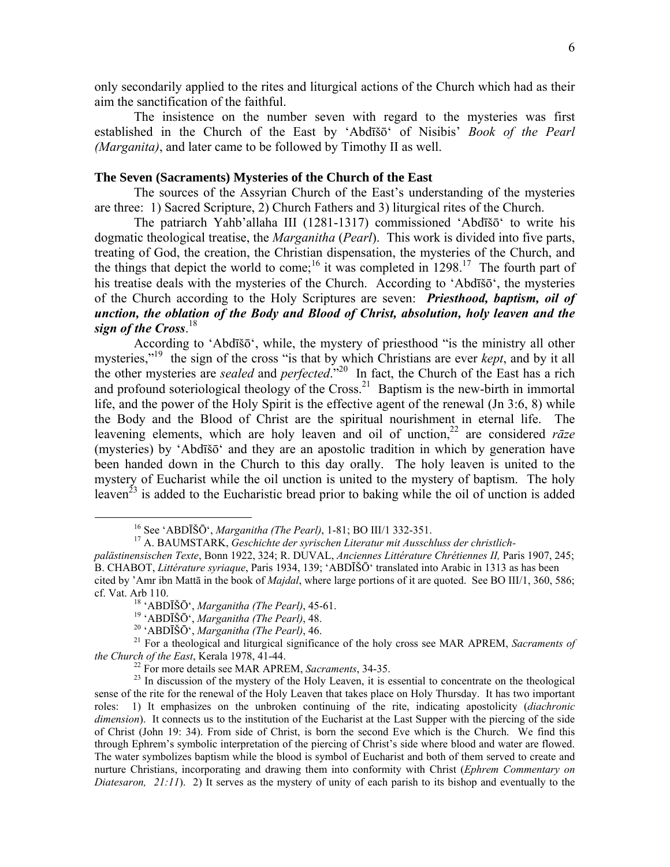only secondarily applied to the rites and liturgical actions of the Church which had as their aim the sanctification of the faithful.

 The insistence on the number seven with regard to the mysteries was first established in the Church of the East by 'Abdīšō' of Nisibis' *Book of the Pearl (Marganita)*, and later came to be followed by Timothy II as well.

## **The Seven (Sacraments) Mysteries of the Church of the East**

 The sources of the Assyrian Church of the East's understanding of the mysteries are three: 1) Sacred Scripture, 2) Church Fathers and 3) liturgical rites of the Church.

 The patriarch Yahb'allaha III (1281-1317) commissioned 'Abdīšō' to write his dogmatic theological treatise, the *Marganitha* (*Pearl*). This work is divided into five parts, treating of God, the creation, the Christian dispensation, the mysteries of the Church, and the things that depict the world to come;<sup>16</sup> it was completed in  $1298$ <sup>17</sup>. The fourth part of his treatise deals with the mysteries of the Church. According to 'Abdīšō', the mysteries of the Church according to the Holy Scriptures are seven: *Priesthood, baptism, oil of unction, the oblation of the Body and Blood of Christ, absolution, holy leaven and the sign of the Cross*. 18

 According to 'Abdīšō', while, the mystery of priesthood "is the ministry all other mysteries,"<sup>19</sup> the sign of the cross "is that by which Christians are ever *kept*, and by it all the other mysteries are *sealed* and *perfected*."20 In fact, the Church of the East has a rich and profound soteriological theology of the Cross.<sup>21</sup> Baptism is the new-birth in immortal life, and the power of the Holy Spirit is the effective agent of the renewal (Jn 3:6, 8) while the Body and the Blood of Christ are the spiritual nourishment in eternal life. The leavening elements, which are holy leaven and oil of unction,<sup>22</sup> are considered *r* $\bar{a}$ *ze* (mysteries) by 'Abdīšō' and they are an apostolic tradition in which by generation have been handed down in the Church to this day orally. The holy leaven is united to the mystery of Eucharist while the oil unction is united to the mystery of baptism. The holy leaven<sup>23</sup> is added to the Eucharistic bread prior to baking while the oil of unction is added

<sup>&</sup>lt;sup>16</sup> See 'ABDĪŠŌ', *Marganitha (The Pearl)*, 1-81; BO III/1 332-351.<br><sup>17</sup> A. BAUMSTARK, *Geschichte der syrischen Literatur mit Ausschluss der christlichpalästinensischen Texte*, Bonn 1922, 324; R. DUVAL, *Anciennes Littérature Chrétiennes II,* Paris 1907, 245; B. CHABOT, *Littérature syriaque*, Paris 1934, 139; 'ABDĪŠŌ' translated into Arabic in 1313 as has been cited by 'Amr ibn Mattā in the book of *Majdal*, where large portions of it are quoted. See BO III/1, 360, 586;

cf. Vat. Arb 110.<br>
<sup>18</sup> 'ABDĪŠŌ', *Marganitha (The Pearl)*, 45-61.<br>
<sup>19</sup> 'ABDĪŠŌ', *Marganitha (The Pearl)*, 48.<br>
<sup>20</sup> 'ABDĪŠŌ', *Marganitha (The Pearl)*, 46.<br>
<sup>21</sup> For a theological and liturgical significance of the hol

<sup>&</sup>lt;sup>22</sup> For more details see MAR APREM, *Sacraments*, 34-35. <sup>23</sup> In discussion of the mystery of the Holy Leaven, it is essential to concentrate on the theological sense of the rite for the renewal of the Holy Leaven that takes place on Holy Thursday. It has two important roles: 1) It emphasizes on the unbroken continuing of the rite, indicating apostolicity (*diachronic dimension*). It connects us to the institution of the Eucharist at the Last Supper with the piercing of the side of Christ (John 19: 34). From side of Christ, is born the second Eve which is the Church. We find this through Ephrem's symbolic interpretation of the piercing of Christ's side where blood and water are flowed. The water symbolizes baptism while the blood is symbol of Eucharist and both of them served to create and nurture Christians, incorporating and drawing them into conformity with Christ (*Ephrem Commentary on Diatesaron, 21:11*). 2) It serves as the mystery of unity of each parish to its bishop and eventually to the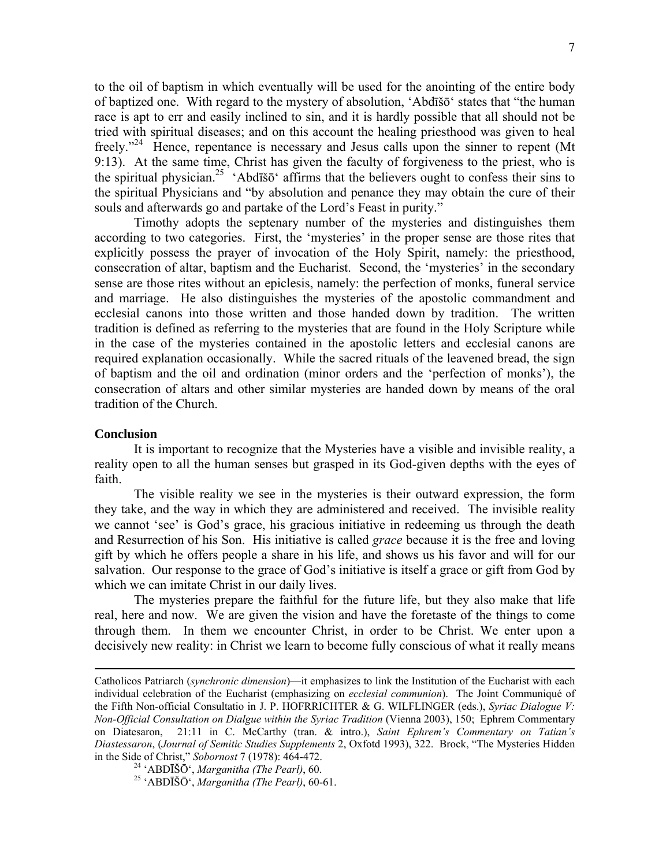to the oil of baptism in which eventually will be used for the anointing of the entire body of baptized one. With regard to the mystery of absolution, 'Abdīšō' states that "the human race is apt to err and easily inclined to sin, and it is hardly possible that all should not be tried with spiritual diseases; and on this account the healing priesthood was given to heal freely."<sup>24</sup> Hence, repentance is necessary and Jesus calls upon the sinner to repent (Mt 9:13). At the same time, Christ has given the faculty of forgiveness to the priest, who is the spiritual physician.<sup>25</sup> 'Abdīšō' affirms that the believers ought to confess their sins to the spiritual Physicians and "by absolution and penance they may obtain the cure of their souls and afterwards go and partake of the Lord's Feast in purity."

 Timothy adopts the septenary number of the mysteries and distinguishes them according to two categories. First, the 'mysteries' in the proper sense are those rites that explicitly possess the prayer of invocation of the Holy Spirit, namely: the priesthood, consecration of altar, baptism and the Eucharist. Second, the 'mysteries' in the secondary sense are those rites without an epiclesis, namely: the perfection of monks, funeral service and marriage. He also distinguishes the mysteries of the apostolic commandment and ecclesial canons into those written and those handed down by tradition. The written tradition is defined as referring to the mysteries that are found in the Holy Scripture while in the case of the mysteries contained in the apostolic letters and ecclesial canons are required explanation occasionally. While the sacred rituals of the leavened bread, the sign of baptism and the oil and ordination (minor orders and the 'perfection of monks'), the consecration of altars and other similar mysteries are handed down by means of the oral tradition of the Church.

### **Conclusion**

 It is important to recognize that the Mysteries have a visible and invisible reality, a reality open to all the human senses but grasped in its God-given depths with the eyes of faith.

 The visible reality we see in the mysteries is their outward expression, the form they take, and the way in which they are administered and received. The invisible reality we cannot 'see' is God's grace, his gracious initiative in redeeming us through the death and Resurrection of his Son. His initiative is called *grace* because it is the free and loving gift by which he offers people a share in his life, and shows us his favor and will for our salvation. Our response to the grace of God's initiative is itself a grace or gift from God by which we can imitate Christ in our daily lives.

 The mysteries prepare the faithful for the future life, but they also make that life real, here and now. We are given the vision and have the foretaste of the things to come through them. In them we encounter Christ, in order to be Christ. We enter upon a decisively new reality: in Christ we learn to become fully conscious of what it really means

Catholicos Patriarch (*synchronic dimension*)—it emphasizes to link the Institution of the Eucharist with each individual celebration of the Eucharist (emphasizing on *ecclesial communion*). The Joint Communiqué of the Fifth Non-official Consultatio in J. P. HOFRRICHTER & G. WILFLINGER (eds.), *Syriac Dialogue V: Non-Official Consultation on Dialgue within the Syriac Tradition* (Vienna 2003), 150; Ephrem Commentary on Diatesaron, 21:11 in C. McCarthy (tran. & intro.), *Saint Ephrem's Commentary on Tatian's Diastessaron*, (*Journal of Semitic Studies Supplements* 2, Oxfotd 1993), 322. Brock, "The Mysteries Hidden

<sup>&</sup>lt;sup>24</sup> 'ABDĪŠŌ', *Marganitha (The Pearl)*, 60.<br><sup>25</sup> 'ABDĪŠŌ', *Marganitha (The Pearl)*, 60-61.